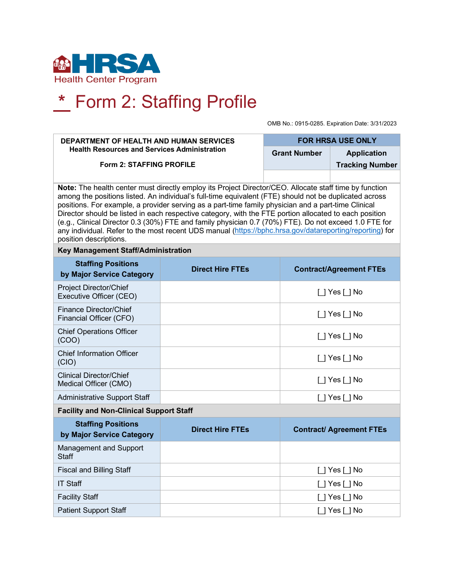

## **\*** Form 2: Staffing Profile

OMB No.: 0915-0285. Expiration Date: 3/31/2023

| DEPARTMENT OF HEALTH AND HUMAN SERVICES<br><b>Health Resources and Services Administration</b>                                                                                                                                                                                                                                                                                                                                                                                                                                                                                                                                                                                  |                         | <b>FOR HRSA USE ONLY</b> |                                                                                                    |  |  |
|---------------------------------------------------------------------------------------------------------------------------------------------------------------------------------------------------------------------------------------------------------------------------------------------------------------------------------------------------------------------------------------------------------------------------------------------------------------------------------------------------------------------------------------------------------------------------------------------------------------------------------------------------------------------------------|-------------------------|--------------------------|----------------------------------------------------------------------------------------------------|--|--|
|                                                                                                                                                                                                                                                                                                                                                                                                                                                                                                                                                                                                                                                                                 |                         | <b>Grant Number</b>      | <b>Application</b>                                                                                 |  |  |
| Form 2: STAFFING PROFILE                                                                                                                                                                                                                                                                                                                                                                                                                                                                                                                                                                                                                                                        |                         |                          | <b>Tracking Number</b>                                                                             |  |  |
|                                                                                                                                                                                                                                                                                                                                                                                                                                                                                                                                                                                                                                                                                 |                         |                          |                                                                                                    |  |  |
| Note: The health center must directly employ its Project Director/CEO. Allocate staff time by function<br>among the positions listed. An individual's full-time equivalent (FTE) should not be duplicated across<br>positions. For example, a provider serving as a part-time family physician and a part-time Clinical<br>Director should be listed in each respective category, with the FTE portion allocated to each position<br>(e.g., Clinical Director 0.3 (30%) FTE and family physician 0.7 (70%) FTE). Do not exceed 1.0 FTE for<br>any individual. Refer to the most recent UDS manual (https://bphc.hrsa.gov/datareporting/reporting) for<br>position descriptions. |                         |                          |                                                                                                    |  |  |
| Key Management Staff/Administration                                                                                                                                                                                                                                                                                                                                                                                                                                                                                                                                                                                                                                             |                         |                          |                                                                                                    |  |  |
| <b>Staffing Positions</b><br>by Major Service Category                                                                                                                                                                                                                                                                                                                                                                                                                                                                                                                                                                                                                          | <b>Direct Hire FTEs</b> |                          | <b>Contract/Agreement FTEs</b>                                                                     |  |  |
| <b>Project Director/Chief</b><br>Executive Officer (CEO)                                                                                                                                                                                                                                                                                                                                                                                                                                                                                                                                                                                                                        |                         |                          | $\Box$ Yes $\Box$ No                                                                               |  |  |
| Finance Director/Chief<br>Financial Officer (CFO)                                                                                                                                                                                                                                                                                                                                                                                                                                                                                                                                                                                                                               |                         |                          | []Yes[]No                                                                                          |  |  |
| <b>Chief Operations Officer</b><br>(COO)                                                                                                                                                                                                                                                                                                                                                                                                                                                                                                                                                                                                                                        |                         |                          | []Yes[]No                                                                                          |  |  |
| <b>Chief Information Officer</b><br>(CIO)                                                                                                                                                                                                                                                                                                                                                                                                                                                                                                                                                                                                                                       |                         |                          | [ ] Yes [ ] No                                                                                     |  |  |
| <b>Clinical Director/Chief</b><br>Medical Officer (CMO)                                                                                                                                                                                                                                                                                                                                                                                                                                                                                                                                                                                                                         |                         |                          | $\Box$ Yes $\Box$ No                                                                               |  |  |
| <b>Administrative Support Staff</b>                                                                                                                                                                                                                                                                                                                                                                                                                                                                                                                                                                                                                                             |                         |                          | $\Box$ Yes $\Box$ No                                                                               |  |  |
| <b>Facility and Non-Clinical Support Staff</b>                                                                                                                                                                                                                                                                                                                                                                                                                                                                                                                                                                                                                                  |                         |                          |                                                                                                    |  |  |
| <b>Staffing Positions</b><br>by Major Service Category                                                                                                                                                                                                                                                                                                                                                                                                                                                                                                                                                                                                                          | <b>Direct Hire FTEs</b> |                          | <b>Contract/ Agreement FTEs</b>                                                                    |  |  |
| Management and Support<br><b>Staff</b>                                                                                                                                                                                                                                                                                                                                                                                                                                                                                                                                                                                                                                          |                         |                          |                                                                                                    |  |  |
| <b>Fiscal and Billing Staff</b>                                                                                                                                                                                                                                                                                                                                                                                                                                                                                                                                                                                                                                                 |                         |                          | $\Box$ Yes $\Box$ No                                                                               |  |  |
| <b>IT Staff</b>                                                                                                                                                                                                                                                                                                                                                                                                                                                                                                                                                                                                                                                                 |                         |                          | $\left[\begin{array}{c} 1 \end{array}\right]$ Yes $\left[\begin{array}{c} 1 \end{array}\right]$ No |  |  |
| <b>Facility Staff</b>                                                                                                                                                                                                                                                                                                                                                                                                                                                                                                                                                                                                                                                           |                         |                          | $\left[\begin{array}{c} 1 \end{array}\right]$ Yes $\left[\begin{array}{c} 1 \end{array}\right]$ No |  |  |
| <b>Patient Support Staff</b>                                                                                                                                                                                                                                                                                                                                                                                                                                                                                                                                                                                                                                                    |                         |                          | $\Box$ Yes $\Box$ No                                                                               |  |  |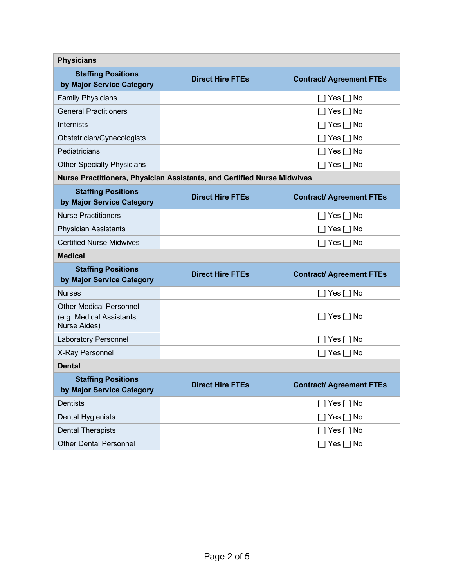| <b>Physicians</b>                                                           |                         |                                 |  |  |  |
|-----------------------------------------------------------------------------|-------------------------|---------------------------------|--|--|--|
| <b>Staffing Positions</b><br>by Major Service Category                      | <b>Direct Hire FTEs</b> | <b>Contract/ Agreement FTEs</b> |  |  |  |
| <b>Family Physicians</b>                                                    |                         | $\lceil$   Yes $\lceil$   No    |  |  |  |
| <b>General Practitioners</b>                                                |                         | $\Box$ Yes $\Box$ No            |  |  |  |
| <b>Internists</b>                                                           |                         | $\Box$ Yes $\Box$ No            |  |  |  |
| Obstetrician/Gynecologists                                                  |                         | $\lceil$   Yes $\lceil$   No    |  |  |  |
| Pediatricians                                                               |                         | $\lceil$   Yes $\lceil$   No    |  |  |  |
| <b>Other Specialty Physicians</b>                                           |                         | $\Box$ Yes $\Box$ No            |  |  |  |
| Nurse Practitioners, Physician Assistants, and Certified Nurse Midwives     |                         |                                 |  |  |  |
| <b>Staffing Positions</b><br>by Major Service Category                      | <b>Direct Hire FTEs</b> | <b>Contract/ Agreement FTEs</b> |  |  |  |
| <b>Nurse Practitioners</b>                                                  |                         | $\Box$ Yes $\Box$ No            |  |  |  |
| <b>Physician Assistants</b>                                                 |                         | $\Box$ Yes $\Box$ No            |  |  |  |
| <b>Certified Nurse Midwives</b>                                             |                         | $\Box$ Yes $\Box$ No            |  |  |  |
| <b>Medical</b>                                                              |                         |                                 |  |  |  |
| <b>Staffing Positions</b><br>by Major Service Category                      | <b>Direct Hire FTEs</b> | <b>Contract/ Agreement FTEs</b> |  |  |  |
| <b>Nurses</b>                                                               |                         | $\Box$ Yes $\Box$ No            |  |  |  |
| <b>Other Medical Personnel</b><br>(e.g. Medical Assistants,<br>Nurse Aides) |                         | $\Box$ Yes $\Box$ No            |  |  |  |
| <b>Laboratory Personnel</b>                                                 |                         | $\Box$ Yes $\Box$ No            |  |  |  |
| X-Ray Personnel                                                             |                         | $\Box$ Yes $\Box$ No            |  |  |  |
| <b>Dental</b>                                                               |                         |                                 |  |  |  |
| <b>Staffing Positions</b><br>by Major Service Category                      | <b>Direct Hire FTEs</b> | <b>Contract/ Agreement FTEs</b> |  |  |  |
| <b>Dentists</b>                                                             |                         | $\Box$ Yes $\Box$ No            |  |  |  |
| Dental Hygienists                                                           |                         | $\Box$ Yes $\Box$ No            |  |  |  |
| <b>Dental Therapists</b>                                                    |                         | $\Box$ Yes $\Box$ No            |  |  |  |
| <b>Other Dental Personnel</b>                                               |                         | $\Box$ Yes $\Box$ No            |  |  |  |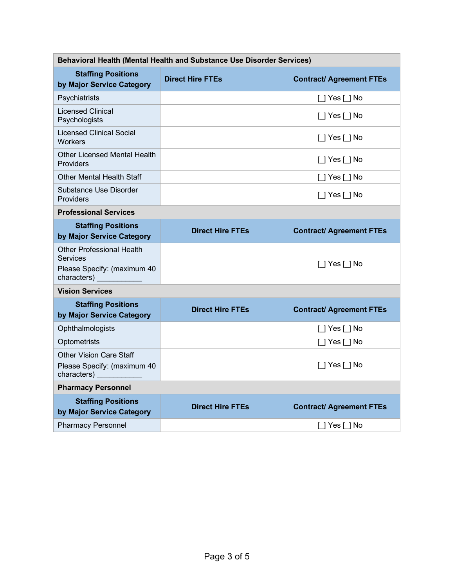| Behavioral Health (Mental Health and Substance Use Disorder Services)                             |                         |                                 |  |  |
|---------------------------------------------------------------------------------------------------|-------------------------|---------------------------------|--|--|
| <b>Staffing Positions</b><br>by Major Service Category                                            | <b>Direct Hire FTEs</b> | <b>Contract/ Agreement FTEs</b> |  |  |
| Psychiatrists                                                                                     |                         | $\Box$ Yes $\Box$ No            |  |  |
| <b>Licensed Clinical</b><br>Psychologists                                                         |                         | [ ] Yes [ ] No                  |  |  |
| <b>Licensed Clinical Social</b><br><b>Workers</b>                                                 |                         | $\Box$ Yes $\Box$ No            |  |  |
| Other Licensed Mental Health<br><b>Providers</b>                                                  |                         | $\Box$ Yes $\Box$ No            |  |  |
| Other Mental Health Staff                                                                         |                         | $\Box$ Yes $\Box$ No            |  |  |
| Substance Use Disorder<br>Providers                                                               |                         | [ ] Yes [ ] No                  |  |  |
| <b>Professional Services</b>                                                                      |                         |                                 |  |  |
| <b>Staffing Positions</b><br>by Major Service Category                                            | <b>Direct Hire FTEs</b> | <b>Contract/ Agreement FTEs</b> |  |  |
| <b>Other Professional Health</b><br><b>Services</b><br>Please Specify: (maximum 40<br>characters) |                         | $\Box$ Yes $\Box$ No            |  |  |
| <b>Vision Services</b>                                                                            |                         |                                 |  |  |
| <b>Staffing Positions</b><br>by Major Service Category                                            | <b>Direct Hire FTEs</b> | <b>Contract/ Agreement FTEs</b> |  |  |
| Ophthalmologists                                                                                  |                         | $\Box$ Yes $\Box$ No            |  |  |
| Optometrists                                                                                      |                         | $\Box$ Yes $\Box$ No            |  |  |
| <b>Other Vision Care Staff</b><br>Please Specify: (maximum 40<br>characters)                      |                         | [ ] Yes [ ] No                  |  |  |
| <b>Pharmacy Personnel</b>                                                                         |                         |                                 |  |  |
| <b>Staffing Positions</b><br>by Major Service Category                                            | <b>Direct Hire FTEs</b> | <b>Contract/ Agreement FTEs</b> |  |  |
| <b>Pharmacy Personnel</b>                                                                         |                         | $\Box$ Yes $\Box$ No            |  |  |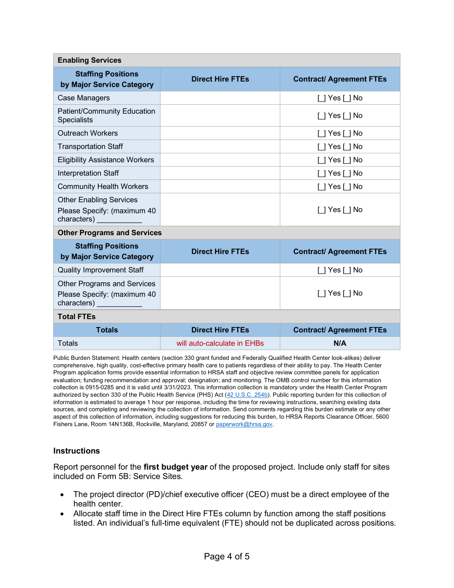| <b>Enabling Services</b>                                                                            |                             |                                 |  |  |
|-----------------------------------------------------------------------------------------------------|-----------------------------|---------------------------------|--|--|
| <b>Staffing Positions</b><br>by Major Service Category                                              | <b>Direct Hire FTEs</b>     | <b>Contract/ Agreement FTEs</b> |  |  |
| <b>Case Managers</b>                                                                                |                             | $\lceil$   Yes $\lceil$   No    |  |  |
| <b>Patient/Community Education</b><br><b>Specialists</b>                                            |                             | [ ] Yes [ ] No                  |  |  |
| <b>Outreach Workers</b>                                                                             |                             | [ ] Yes [ ] No                  |  |  |
| <b>Transportation Staff</b>                                                                         |                             | $\Box$ Yes $\Box$ No            |  |  |
| <b>Eligibility Assistance Workers</b>                                                               |                             | $\Box$ Yes $\Box$ No            |  |  |
| Interpretation Staff                                                                                |                             | $\Box$ Yes $\Box$ No            |  |  |
| <b>Community Health Workers</b>                                                                     |                             | $\Box$ Yes $\Box$ No            |  |  |
| <b>Other Enabling Services</b><br>Please Specify: (maximum 40                                       |                             | $\Box$ Yes $\Box$ No            |  |  |
| <b>Other Programs and Services</b>                                                                  |                             |                                 |  |  |
| <b>Staffing Positions</b><br>by Major Service Category                                              | <b>Direct Hire FTEs</b>     | <b>Contract/ Agreement FTEs</b> |  |  |
| <b>Quality Improvement Staff</b>                                                                    |                             | $\Box$ Yes $\Box$ No            |  |  |
| <b>Other Programs and Services</b><br>Please Specify: (maximum 40<br>characters) and the characters |                             | $\lceil$   Yes $\lceil$   No    |  |  |
| <b>Total FTEs</b>                                                                                   |                             |                                 |  |  |
| <b>Totals</b>                                                                                       | <b>Direct Hire FTEs</b>     | <b>Contract/ Agreement FTEs</b> |  |  |
| Totals                                                                                              | will auto-calculate in EHBs | N/A                             |  |  |

Public Burden Statement: Health centers (section 330 grant funded and Federally Qualified Health Center look-alikes) deliver comprehensive, high quality, cost-effective primary health care to patients regardless of their ability to pay. The Health Center Program application forms provide essential information to HRSA staff and objective review committee panels for application evaluation; funding recommendation and approval; designation; and monitoring. The OMB control number for this information collection is 0915-0285 and it is valid until 3/31/2023. This information collection is mandatory under the Health Center Program authorized by section 330 of the Public Health Service (PHS) Act [\(42 U.S.C. 254b\)](http://uscode.house.gov/view.xhtml?req=granuleid:USC-prelim-title42-section254b&num=0&edition=prelim). Public reporting burden for this collection of information is estimated to average 1 hour per response, including the time for reviewing instructions, searching existing data sources, and completing and reviewing the collection of information. Send comments regarding this burden estimate or any other aspect of this collection of information, including suggestions for reducing this burden, to HRSA Reports Clearance Officer, 5600 Fishers Lane, Room 14N136B, Rockville, Maryland, 20857 or paperwork@hrsa.gov.

## **Instructions**

Report personnel for the **first budget year** of the proposed project. Include only staff for sites included on Form 5B: Service Sites.

- The project director (PD)/chief executive officer (CEO) must be a direct employee of the health center.
- Allocate staff time in the Direct Hire FTEs column by function among the staff positions listed. An individual's full-time equivalent (FTE) should not be duplicated across positions.